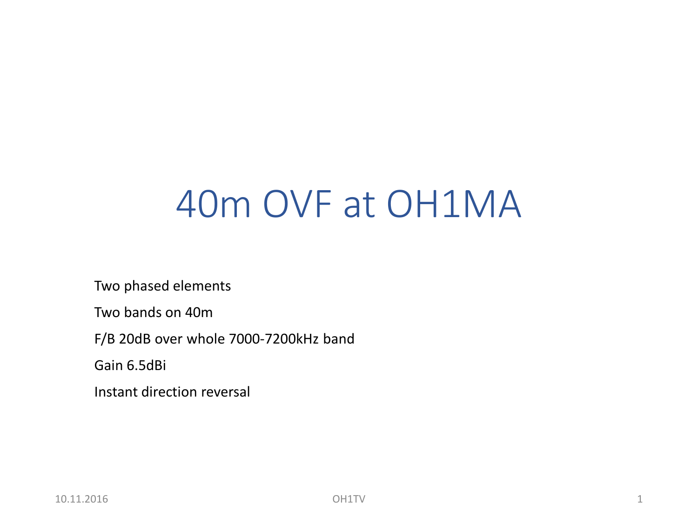# 40m OVF at OH1MA

Two phased elements

Two bands on 40m

F/B 20dB over whole 7000-7200kHz band

Gain 6.5dBi

Instant direction reversal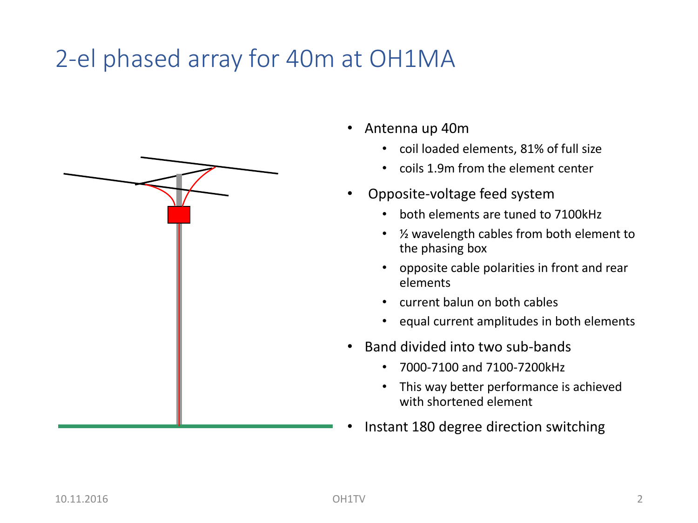### 2-el phased array for 40m at OH1MA

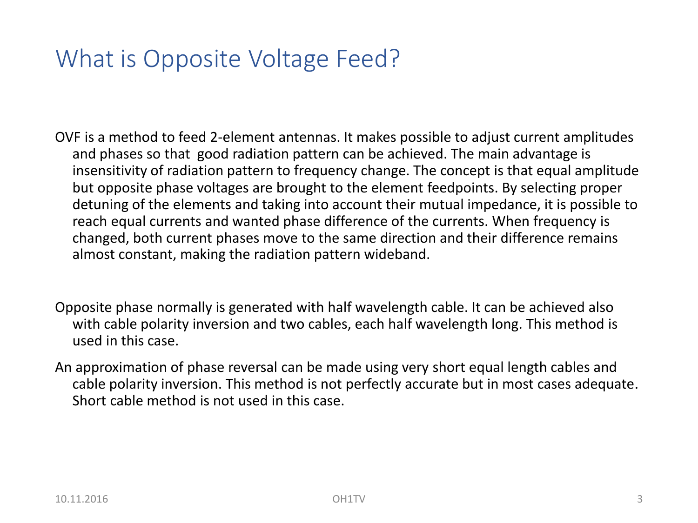### What is Opposite Voltage Feed?

OVF is a method to feed 2-element antennas. It makes possible to adjust current amplitudes and phases so that good radiation pattern can be achieved. The main advantage is insensitivity of radiation pattern to frequency change. The concept is that equal amplitude but opposite phase voltages are brought to the element feedpoints. By selecting proper detuning of the elements and taking into account their mutual impedance, it is possible to reach equal currents and wanted phase difference of the currents. When frequency is changed, both current phases move to the same direction and their difference remains almost constant, making the radiation pattern wideband.

Opposite phase normally is generated with half wavelength cable. It can be achieved also with cable polarity inversion and two cables, each half wavelength long. This method is used in this case.

An approximation of phase reversal can be made using very short equal length cables and cable polarity inversion. This method is not perfectly accurate but in most cases adequate. Short cable method is not used in this case.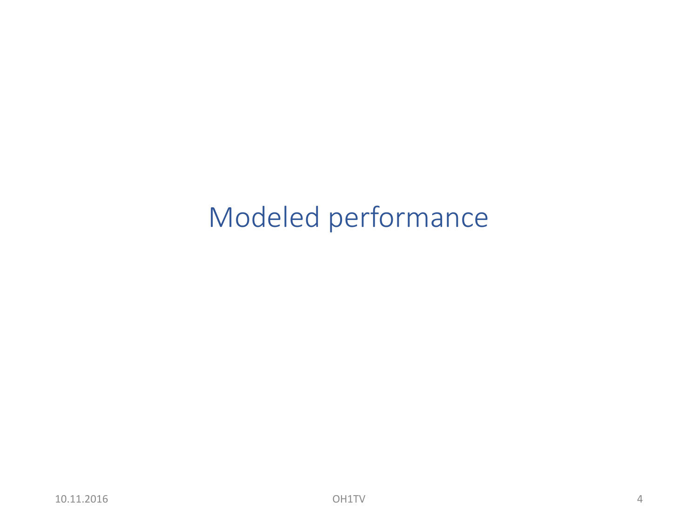## Modeled performance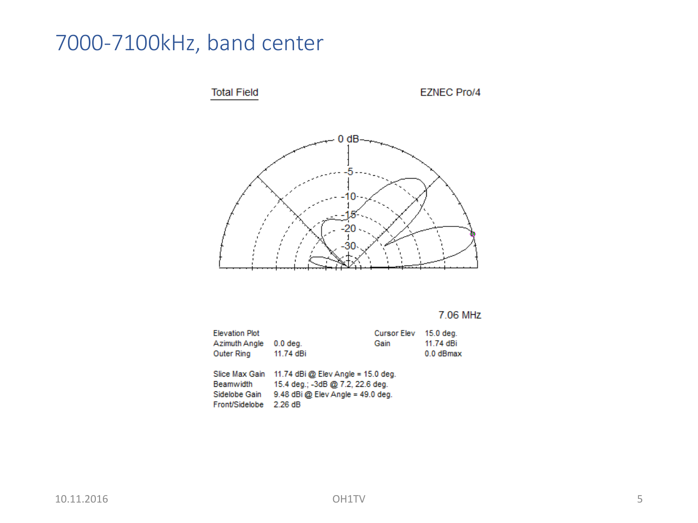### 7000-7100kHz, band center



7.06 MHz

| $15.0$ deg.                         |  |  |
|-------------------------------------|--|--|
| 11.74 dBi                           |  |  |
| $0.0$ dBmax                         |  |  |
|                                     |  |  |
| 11.74 dBi @ Elev Angle = 15.0 deg.  |  |  |
| 15.4 deg.; -3dB @ 7.2, 22.6 deg.    |  |  |
| $9.48$ dBi @ Elev Angle = 49.0 deg. |  |  |
|                                     |  |  |
|                                     |  |  |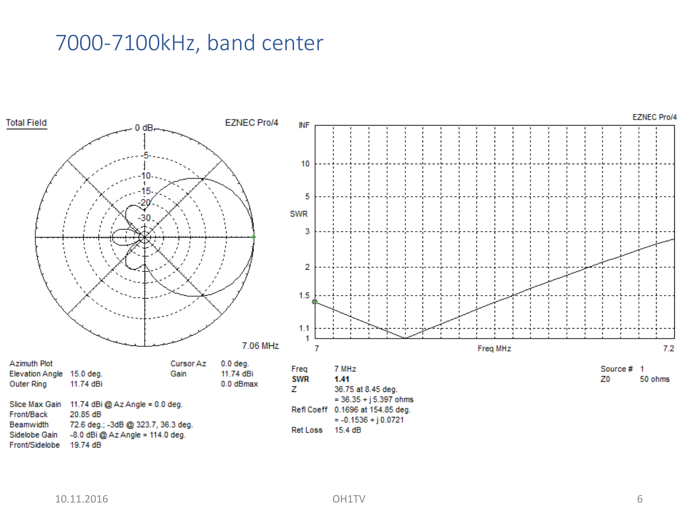#### 7000-7100kHz, band center

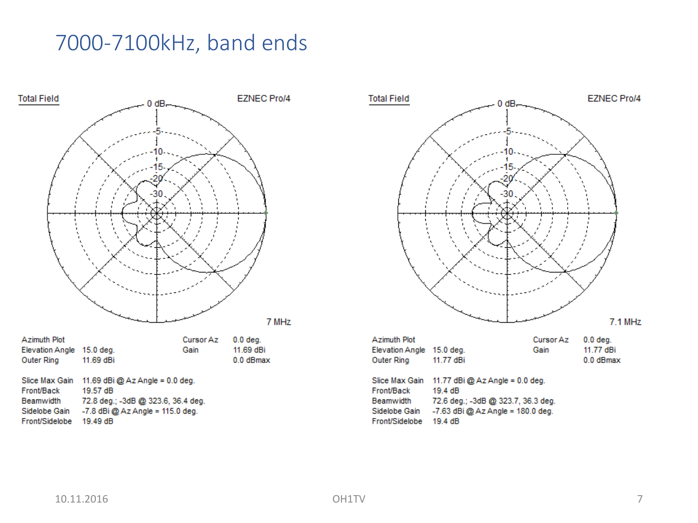#### 7000-7100kHz, band ends



| <b>Beamwidth</b> | 72.8 deg.; -3dB @ 323.6, 36.  |
|------------------|-------------------------------|
| Sidelobe Gain    | $-7.8$ dBi @ Az Angle = 115.0 |
| Front/Sidelobe   | 19.49 dB                      |



| Slice Max Gain | 11.77 $dBi$ @ Az Angle = 0.0 deg.   |
|----------------|-------------------------------------|
| Front/Back     | 19.4 dB                             |
| Beamwidth      | 72.6 deg.; -3dB @ 323.7, 36.3 deg.  |
| Sidelobe Gain  | $-7.63$ dBi @ Az Angle = 180.0 deg. |
| Front/Sidelobe | 19.4 dB                             |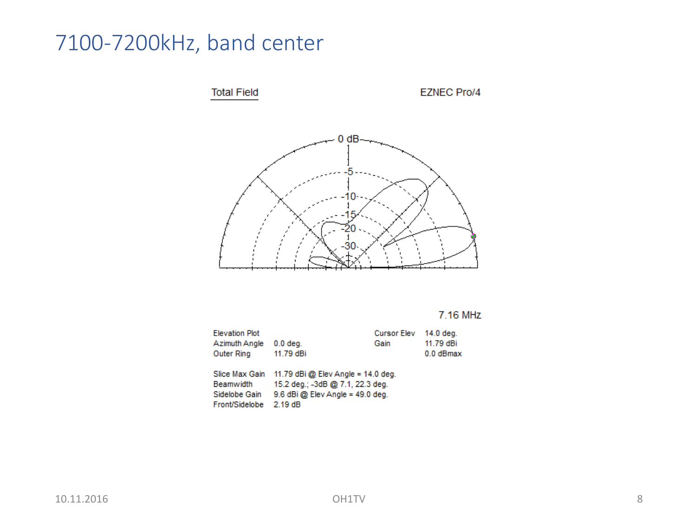### 7100-7200kHz, band center



7.16 MHz

| <b>Elevation Plot</b> |                                      | <b>Cursor Elev</b> | 14.0 deg.   |
|-----------------------|--------------------------------------|--------------------|-------------|
| Azimuth Angle         | $0.0$ deg.                           | Gain               | 11.79 dBi   |
| <b>Outer Ring</b>     | 11.79 dBi                            |                    | $0.0$ dBmax |
|                       |                                      |                    |             |
| Slice Max Gain        | 11.79 dBi @ Elev Angle = 14.0 deg.   |                    |             |
| <b>Beamwidth</b>      | 15.2 deg.; -3dB @ 7.1, 22.3 deg.     |                    |             |
| Sidelobe Gain         | $9.6$ dBi $@$ Elev Angle = 49.0 deg. |                    |             |
| Front/Sidelobe        | 2.19dB                               |                    |             |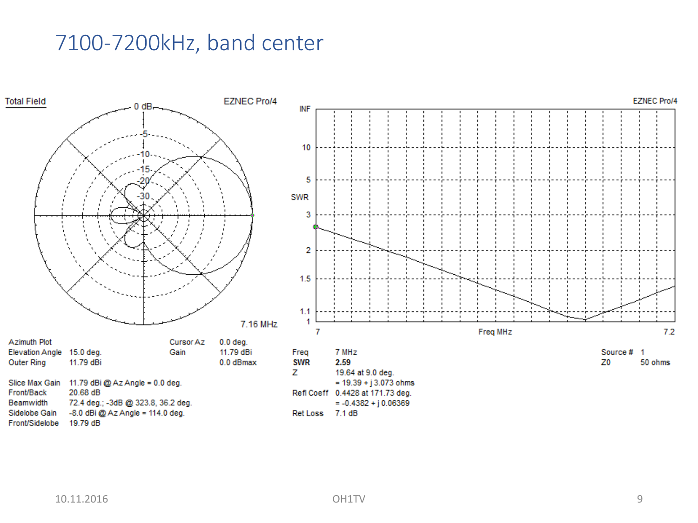#### 7100-7200kHz, band center

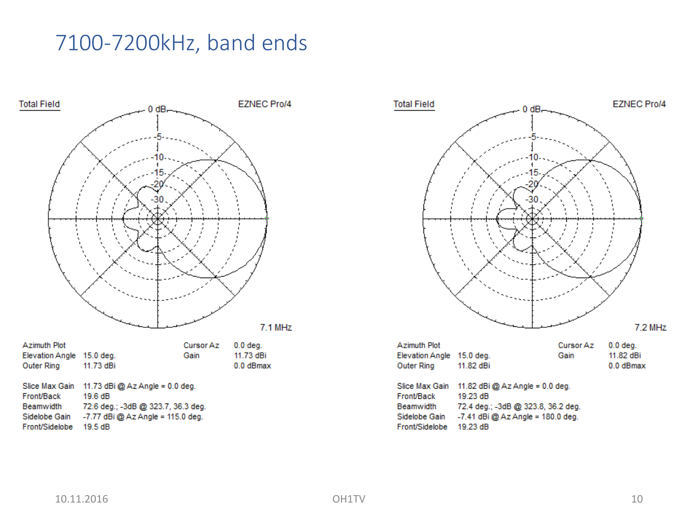#### 7100-7200kHz, band ends



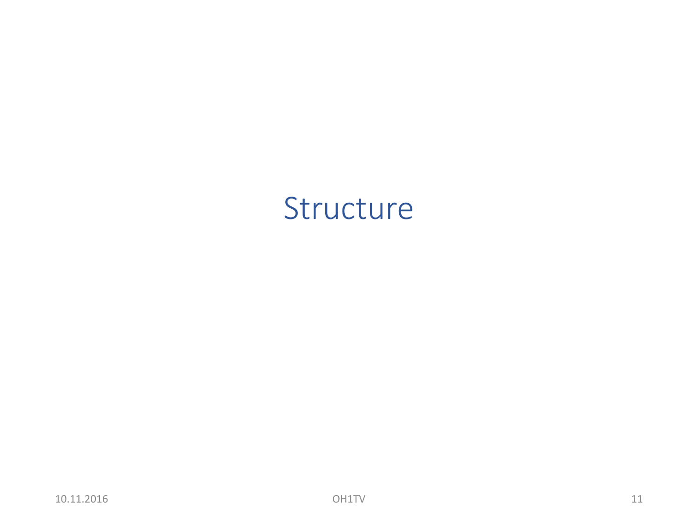### Structure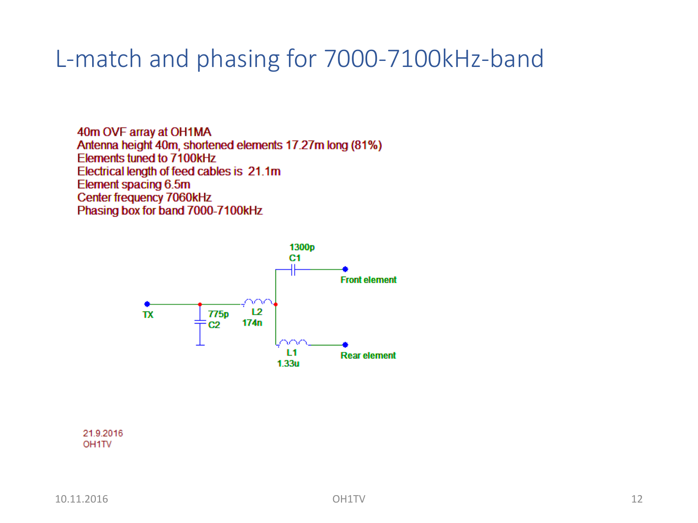### L-match and phasing for 7000-7100kHz-band

40m OVF array at OH1MA Antenna height 40m, shortened elements 17.27m long (81%) Elements tuned to 7100kHz Electrical length of feed cables is 21.1m Element spacing 6.5m Center frequency 7060kHz Phasing box for band 7000-7100kHz



21.9.2016 OH<sub>1</sub>TV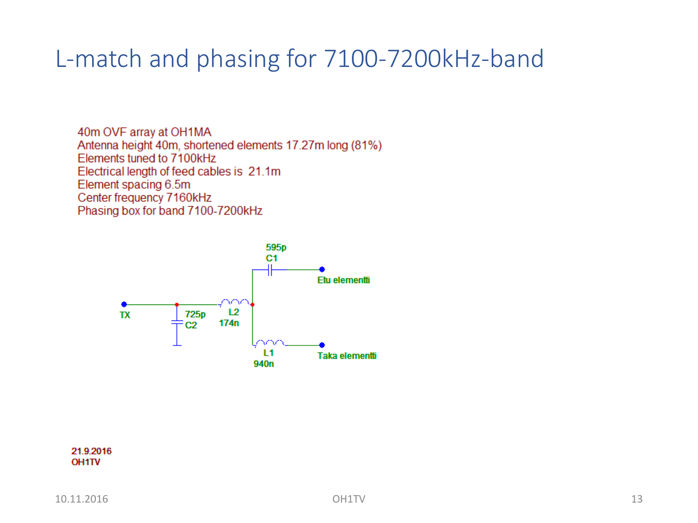### L-match and phasing for 7100-7200kHz-band

40m OVF array at OH1MA Antenna height 40m, shortened elements 17.27m long (81%) Elements tuned to 7100kHz Electrical length of feed cables is 21.1m Element spacing 6.5m Center frequency 7160kHz Phasing box for band 7100-7200kHz



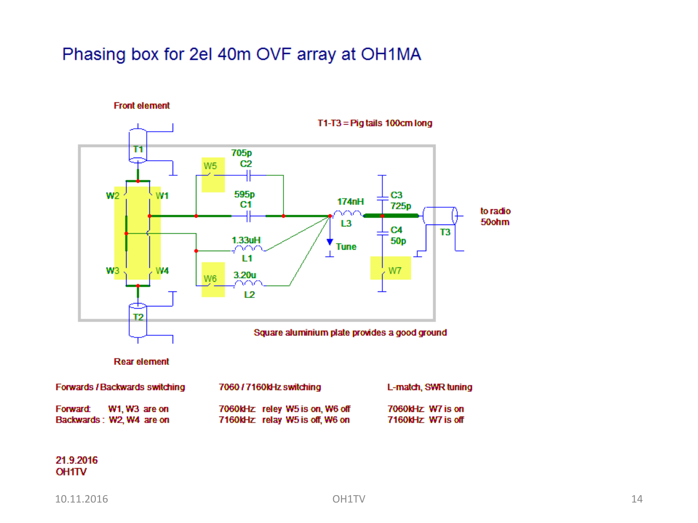#### Phasing box for 2el 40m OVF array at OH1MA

**Front element** 



#### 21.9.2016 **OH1TV**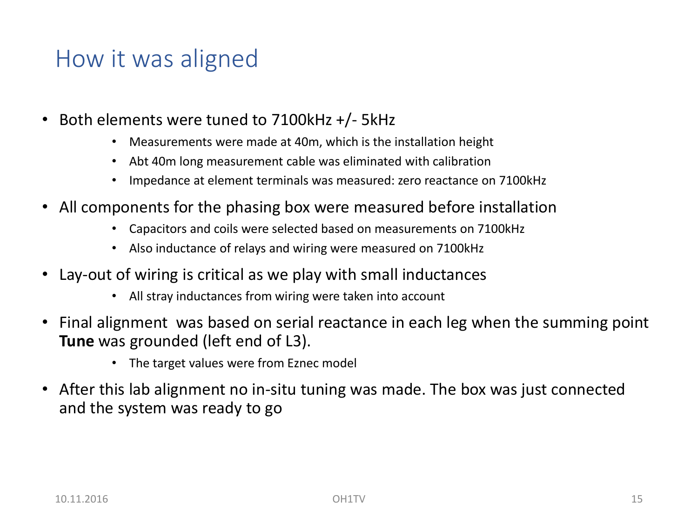### How it was aligned

- Both elements were tuned to 7100kHz +/- 5kHz
	- Measurements were made at 40m, which is the installation height
	- Abt 40m long measurement cable was eliminated with calibration
	- Impedance at element terminals was measured: zero reactance on 7100kHz
- All components for the phasing box were measured before installation
	- Capacitors and coils were selected based on measurements on 7100kHz
	- Also inductance of relays and wiring were measured on 7100kHz
- Lay-out of wiring is critical as we play with small inductances
	- All stray inductances from wiring were taken into account
- Final alignment was based on serial reactance in each leg when the summing point **Tune** was grounded (left end of L3).
	- The target values were from Eznec model
- After this lab alignment no in-situ tuning was made. The box was just connected and the system was ready to go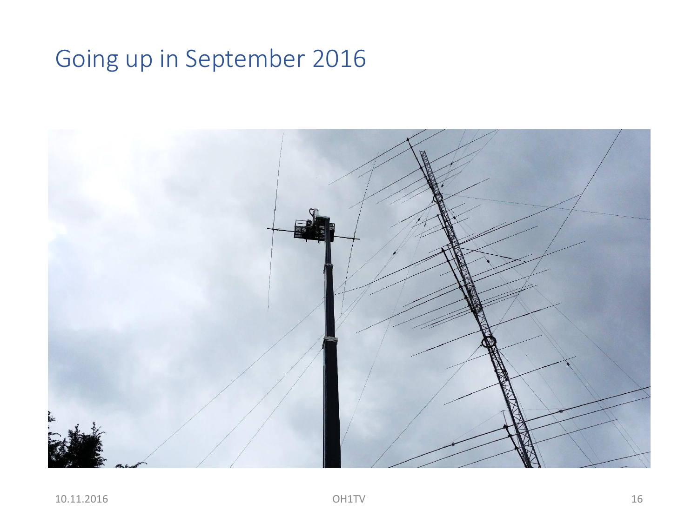### Going up in September 2016